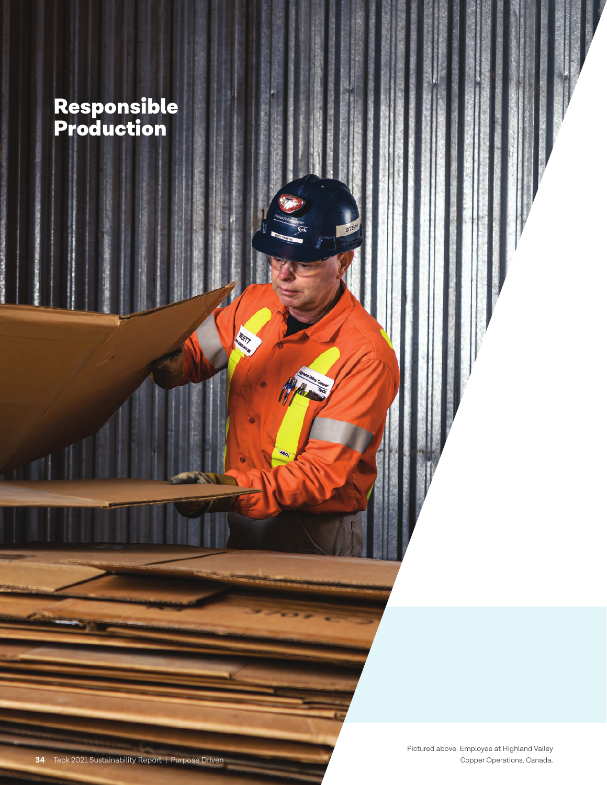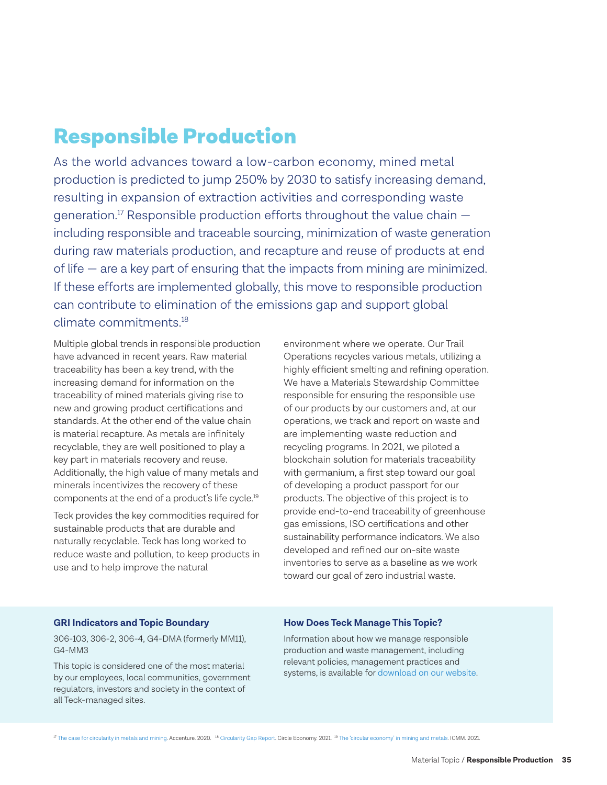## Responsible Production

As the world advances toward a low-carbon economy, mined metal production is predicted to jump 250% by 2030 to satisfy increasing demand, resulting in expansion of extraction activities and corresponding waste generation.<sup>17</sup> Responsible production efforts throughout the value chain  $$ including responsible and traceable sourcing, minimization of waste generation during raw materials production, and recapture and reuse of products at end of life — are a key part of ensuring that the impacts from mining are minimized. If these efforts are implemented globally, this move to responsible production can contribute to elimination of the emissions gap and support global climate commitments<sup>18</sup>

Multiple global trends in responsible production have advanced in recent years. Raw material traceability has been a key trend, with the increasing demand for information on the traceability of mined materials giving rise to new and growing product certifications and standards. At the other end of the value chain is material recapture. As metals are infinitely recyclable, they are well positioned to play a key part in materials recovery and reuse. Additionally, the high value of many metals and minerals incentivizes the recovery of these components at the end of a product's life cycle.19

Teck provides the key commodities required for sustainable products that are durable and naturally recyclable. Teck has long worked to reduce waste and pollution, to keep products in use and to help improve the natural

environment where we operate. Our Trail Operations recycles various metals, utilizing a highly efficient smelting and refining operation. We have a Materials Stewardship Committee responsible for ensuring the responsible use of our products by our customers and, at our operations, we track and report on waste and are implementing waste reduction and recycling programs. In 2021, we piloted a blockchain solution for materials traceability with germanium, a first step toward our goal of developing a product passport for our products. The objective of this project is to provide end-to-end traceability of greenhouse gas emissions, ISO certifications and other sustainability performance indicators. We also developed and refined our on-site waste inventories to serve as a baseline as we work toward our goal of zero industrial waste.

#### **GRI Indicators and Topic Boundary**

306-103, 306-2, 306-4, G4-DMA (formerly MM11), G4-MM3

This topic is considered one of the most material by our employees, local communities, government regulators, investors and society in the context of all Teck-managed sites.

#### **How Does Teck Manage This Topic?**

Information about how we manage responsible production and waste management, including relevant policies, management practices and systems, is available for [download on our website.](https://www.teck.com/media/Teck_Approach_to_Responsible_Production_2021.pdf) 

<sup>17</sup> [The case for circularity in metals and mining.](https://www.accenture.com/ca-en/insights/natural-resources/circularity-metals-mining) Accenture. 2020. <sup>18</sup> [Circularity Gap Report.](https://www.circle-economy.com/resources/circularity-gap-report-2021) Circle Economy. 2021. <sup>19</sup> [The 'circular economy' in mining and metals.](https://miningwithprinciples.com/the-circular-economy-in-mining-and-metals/) ICMM. 2021.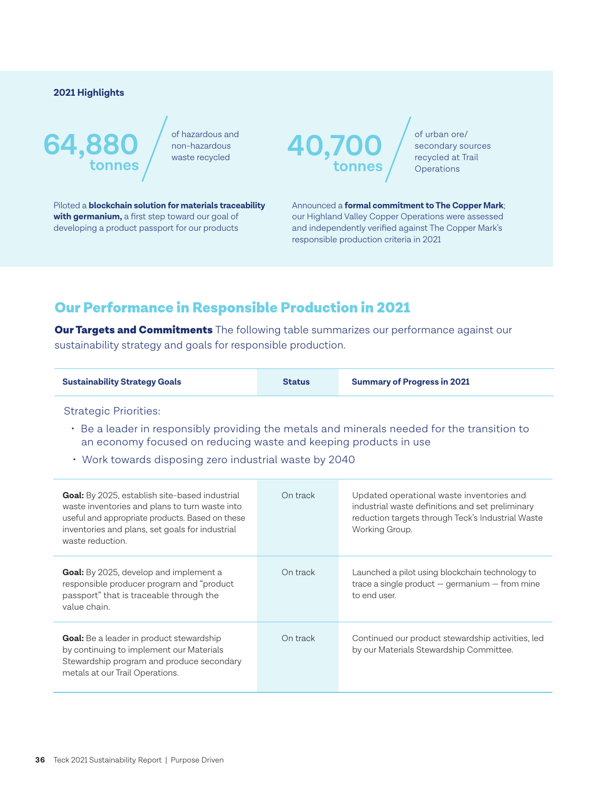#### **2021 Highlights**

# **64,880**  $\frac{64,880}{\frac{1}{\text{under frequency}}$ **tonnes**

of hazardous and



of urban ore/ secondary sources recycled at Trail **Operations** 

Piloted a **blockchain solution for materials traceability with germanium,** a first step toward our goal of developing a product passport for our products

Announced a **formal commitment to The Copper Mark**; our Highland Valley Copper Operations were assessed and independently verified against The Copper Mark's responsible production criteria in 2021

## Our Performance in Responsible Production in 2021

**Our Targets and Commitments** The following table summarizes our performance against our sustainability strategy and goals for responsible production.

| <b>Summary of Progress in 2021</b> |
|------------------------------------|
|                                    |

Strategic Priorities:

- Be a leader in responsibly providing the metals and minerals needed for the transition to an economy focused on reducing waste and keeping products in use
- Work towards disposing zero industrial waste by 2040

| <b>Goal:</b> By 2025, establish site-based industrial<br>waste inventories and plans to turn waste into<br>useful and appropriate products. Based on these<br>inventories and plans, set goals for industrial<br>waste reduction. | On track | Updated operational waste inventories and<br>industrial waste definitions and set preliminary<br>reduction targets through Teck's Industrial Waste<br>Working Group. |
|-----------------------------------------------------------------------------------------------------------------------------------------------------------------------------------------------------------------------------------|----------|----------------------------------------------------------------------------------------------------------------------------------------------------------------------|
| <b>Goal:</b> By 2025, develop and implement a<br>responsible producer program and "product<br>passport" that is traceable through the<br>value chain.                                                                             | On track | Launched a pilot using blockchain technology to<br>trace a single product $-$ germanium $-$ from mine<br>to end user.                                                |
| Goal: Be a leader in product stewardship<br>by continuing to implement our Materials<br>Stewardship program and produce secondary<br>metals at our Trail Operations.                                                              | On track | Continued our product stewardship activities, led<br>by our Materials Stewardship Committee.                                                                         |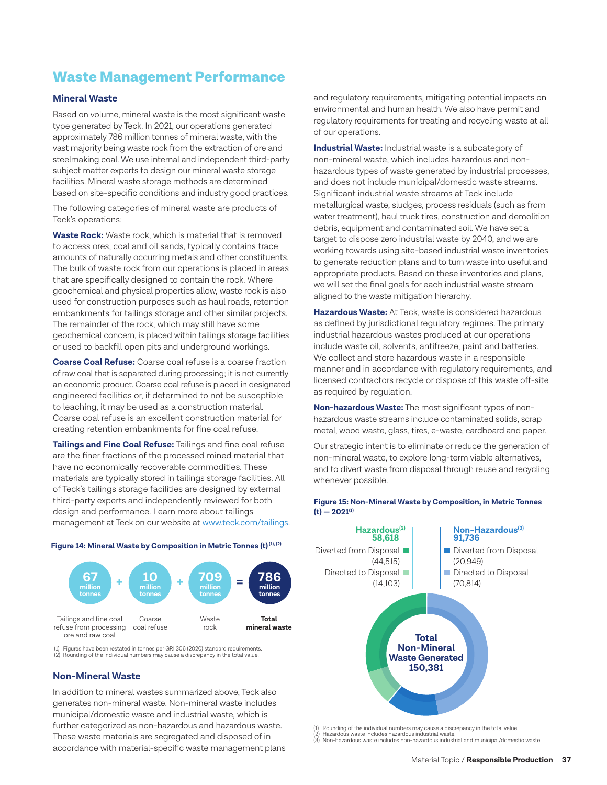## Waste Management Performance

#### **Mineral Waste**

Based on volume, mineral waste is the most significant waste type generated by Teck. In 2021, our operations generated approximately 786 million tonnes of mineral waste, with the vast majority being waste rock from the extraction of ore and steelmaking coal. We use internal and independent third-party subject matter experts to design our mineral waste storage facilities. Mineral waste storage methods are determined based on site-specific conditions and industry good practices.

The following categories of mineral waste are products of Teck's operations:

**Waste Rock:** Waste rock, which is material that is removed to access ores, coal and oil sands, typically contains trace amounts of naturally occurring metals and other constituents. The bulk of waste rock from our operations is placed in areas that are specifically designed to contain the rock. Where geochemical and physical properties allow, waste rock is also used for construction purposes such as haul roads, retention embankments for tailings storage and other similar projects. The remainder of the rock, which may still have some geochemical concern, is placed within tailings storage facilities or used to backfill open pits and underground workings.

**Coarse Coal Refuse:** Coarse coal refuse is a coarse fraction of raw coal that is separated during processing; it is not currently an economic product. Coarse coal refuse is placed in designated engineered facilities or, if determined to not be susceptible to leaching, it may be used as a construction material. Coarse coal refuse is an excellent construction material for creating retention embankments for fine coal refuse.

**Tailings and Fine Coal Refuse:** Tailings and fine coal refuse are the finer fractions of the processed mined material that have no economically recoverable commodities. These materials are typically stored in tailings storage facilities. All of Teck's tailings storage facilities are designed by external third-party experts and independently reviewed for both design and performance. Learn more about tailings management at Teck on our website at [www.teck.com/tailings.](http://www.teck.com/tailings)



**Figure 14: Mineral Waste by Composition in Metric Tonnes (t) (1), (2)**

(1) Figures have been restated in tonnes per GRI 306 (2020) standard requirements. (2) Rounding of the individual numbers may cause a discrepancy in the total value.

#### **Non-Mineral Waste**

ore and raw coal

In addition to mineral wastes summarized above, Teck also generates non-mineral waste. Non-mineral waste includes municipal/domestic waste and industrial waste, which is further categorized as non-hazardous and hazardous waste. These waste materials are segregated and disposed of in accordance with material-specific waste management plans and regulatory requirements, mitigating potential impacts on environmental and human health. We also have permit and regulatory requirements for treating and recycling waste at all of our operations.

**Industrial Waste:** Industrial waste is a subcategory of non-mineral waste, which includes hazardous and nonhazardous types of waste generated by industrial processes, and does not include municipal/domestic waste streams. Significant industrial waste streams at Teck include metallurgical waste, sludges, process residuals (such as from water treatment), haul truck tires, construction and demolition debris, equipment and contaminated soil. We have set a target to dispose zero industrial waste by 2040, and we are working towards using site-based industrial waste inventories to generate reduction plans and to turn waste into useful and appropriate products. Based on these inventories and plans, we will set the final goals for each industrial waste stream aligned to the waste mitigation hierarchy.

**Hazardous Waste:** At Teck, waste is considered hazardous as defined by jurisdictional regulatory regimes. The primary industrial hazardous wastes produced at our operations include waste oil, solvents, antifreeze, paint and batteries. We collect and store hazardous waste in a responsible manner and in accordance with regulatory requirements, and licensed contractors recycle or dispose of this waste off-site as required by regulation.

**Non-hazardous Waste:** The most significant types of nonhazardous waste streams include contaminated solids, scrap metal, wood waste, glass, tires, e-waste, cardboard and paper.

Our strategic intent is to eliminate or reduce the generation of non-mineral waste, to explore long-term viable alternatives, and to divert waste from disposal through reuse and recycling whenever possible.



**Figure 15: Non-Mineral Waste by Composition, in Metric Tonnes (t) — 2021(1)**

(1) Rounding of the individual numbers may cause a discrepancy in the total value.

(2) Hazardous waste includes hazardous industrial waste. (3) Non-hazardous waste includes non-hazardous industrial and municipal/domestic waste.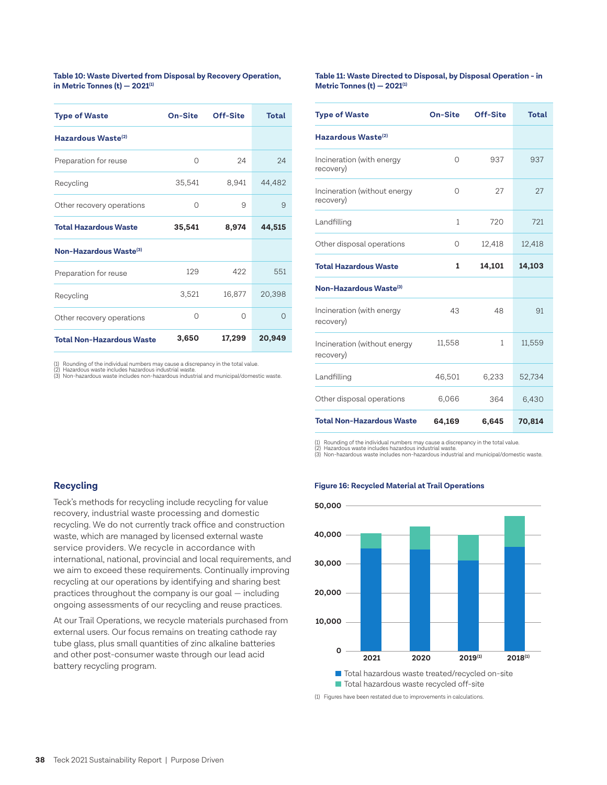**Table 10: Waste Diverted from Disposal by Recovery Operation, in Metric Tonnes (t) — 2021(1)**

| <b>Type of Waste</b>               | On-Site  | Off-Site | Total    |
|------------------------------------|----------|----------|----------|
| Hazardous Waste <sup>(2)</sup>     |          |          |          |
| Preparation for reuse              | $\Omega$ | 24       | 24       |
| Recycling                          | 35,541   | 8,941    | 44,482   |
| Other recovery operations          | $\Omega$ | 9        | 9        |
| <b>Total Hazardous Waste</b>       | 35,541   | 8,974    | 44,515   |
| Non-Hazardous Waste <sup>(3)</sup> |          |          |          |
| Preparation for reuse              | 129      | 422      | 551      |
| Recycling                          | 3,521    | 16,877   | 20,398   |
| Other recovery operations          | $\Omega$ | $\Omega$ | $\Omega$ |
| <b>Total Non-Hazardous Waste</b>   | 3,650    | 17,299   | 20,949   |

Rounding of the individual numbers may cause a discrepancy in the total value.<br>Hazardous waste includes hazardous industrial waste.

(2) Hazardous waste includes hazardous industrial waste. (3) Non-hazardous waste includes non-hazardous industrial and municipal/domestic waste.

**Table 11: Waste Directed to Disposal, by Disposal Operation - in Metric Tonnes (t) — 2021(1)**

| <b>Type of Waste</b>                      | On-Site      | Off-Site     | <b>Total</b> |
|-------------------------------------------|--------------|--------------|--------------|
| Hazardous Waste <sup>(2)</sup>            |              |              |              |
| Incineration (with energy<br>recovery)    | 0            | 937          | 937          |
| Incineration (without energy<br>recovery) | 0            | 27           | 27           |
| Landfilling                               | $\mathbf{1}$ | 720          | 721          |
| Other disposal operations                 | 0            | 12,418       | 12,418       |
| <b>Total Hazardous Waste</b>              | 1            | 14,101       | 14,103       |
| Non-Hazardous Waste <sup>(3)</sup>        |              |              |              |
| Incineration (with energy<br>recovery)    | 43           | 48           | 91           |
| Incineration (without energy<br>recovery) | 11,558       | $\mathbf{1}$ | 11,559       |
| Landfilling                               | 46,501       | 6,233        | 52,734       |
| Other disposal operations                 | 6,066        | 364          | 6,430        |
| <b>Total Non-Hazardous Waste</b>          | 64,169       | 6,645        | 70,814       |

(1) Rounding of the individual numbers may cause a discrepancy in the total value.<br>(2) Hazardous waste includes hazardous industrial waste. Hazardous waste includes hazardous industrial waste.

(3) Non-hazardous waste includes non-hazardous industrial and municipal/domestic waste.

#### **Recycling**

Teck's methods for recycling include recycling for value recovery, industrial waste processing and domestic recycling. We do not currently track office and construction waste, which are managed by licensed external waste service providers. We recycle in accordance with international, national, provincial and local requirements, and we aim to exceed these requirements. Continually improving recycling at our operations by identifying and sharing best practices throughout the company is our goal — including ongoing assessments of our recycling and reuse practices.

At our Trail Operations, we recycle materials purchased from external users. Our focus remains on treating cathode ray tube glass, plus small quantities of zinc alkaline batteries and other post-consumer waste through our lead acid battery recycling program.

#### **Figure 16: Recycled Material at Trail Operations**



(1) Figures have been restated due to improvements in calculations.